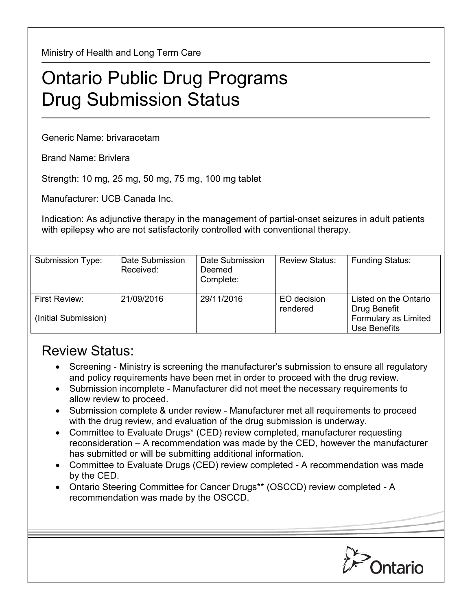Ministry of Health and Long Term Care

## Ontario Public Drug Programs Drug Submission Status

Generic Name: brivaracetam

Brand Name: Brivlera

Strength: 10 mg, 25 mg, 50 mg, 75 mg, 100 mg tablet

Manufacturer: UCB Canada Inc.

Indication: As adjunctive therapy in the management of partial-onset seizures in adult patients with epilepsy who are not satisfactorily controlled with conventional therapy.

| Submission Type:                      | Date Submission<br>Received: | Date Submission<br>Deemed<br>Complete: | <b>Review Status:</b>   | <b>Funding Status:</b>                                                        |
|---------------------------------------|------------------------------|----------------------------------------|-------------------------|-------------------------------------------------------------------------------|
| First Review:<br>(Initial Submission) | 21/09/2016                   | 29/11/2016                             | EO decision<br>rendered | Listed on the Ontario<br>Drug Benefit<br>Formulary as Limited<br>Use Benefits |

## Review Status:

- Screening Ministry is screening the manufacturer's submission to ensure all regulatory and policy requirements have been met in order to proceed with the drug review.
- Submission incomplete Manufacturer did not meet the necessary requirements to allow review to proceed.
- Submission complete & under review Manufacturer met all requirements to proceed with the drug review, and evaluation of the drug submission is underway.
- Committee to Evaluate Drugs\* (CED) review completed, manufacturer requesting reconsideration – A recommendation was made by the CED, however the manufacturer has submitted or will be submitting additional information.
- Committee to Evaluate Drugs (CED) review completed A recommendation was made by the CED.
- Ontario Steering Committee for Cancer Drugs\*\* (OSCCD) review completed A recommendation was made by the OSCCD.